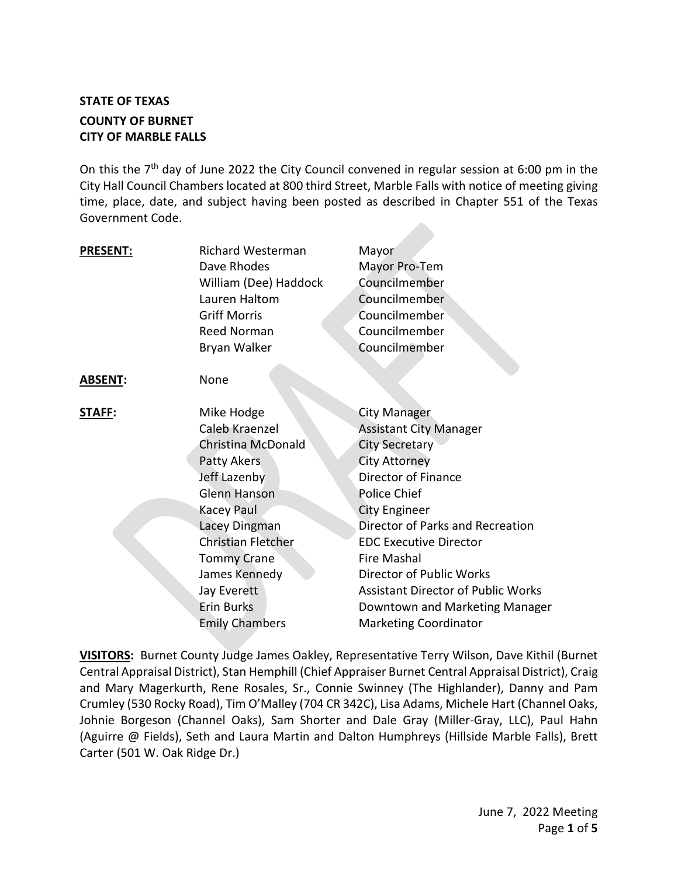# **STATE OF TEXAS COUNTY OF BURNET CITY OF MARBLE FALLS**

On this the  $7<sup>th</sup>$  day of June 2022 the City Council convened in regular session at 6:00 pm in the City Hall Council Chambers located at 800 third Street, Marble Falls with notice of meeting giving time, place, date, and subject having been posted as described in Chapter 551 of the Texas Government Code.

| <b>PRESENT:</b> | <b>Richard Westerman</b>  | Mayor                                     |
|-----------------|---------------------------|-------------------------------------------|
|                 | Dave Rhodes               | Mayor Pro-Tem                             |
|                 | William (Dee) Haddock     | Councilmember                             |
|                 | Lauren Haltom             | Councilmember                             |
|                 | <b>Griff Morris</b>       | Councilmember                             |
|                 | Reed Norman               | Councilmember                             |
|                 | Bryan Walker              | Councilmember                             |
|                 |                           |                                           |
| <b>ABSENT:</b>  | None                      |                                           |
| <b>STAFF:</b>   | Mike Hodge                | <b>City Manager</b>                       |
|                 | Caleb Kraenzel            | <b>Assistant City Manager</b>             |
|                 | Christina McDonald        | <b>City Secretary</b>                     |
|                 | Patty Akers               | <b>City Attorney</b>                      |
|                 | Jeff Lazenby              | Director of Finance                       |
|                 | <b>Glenn Hanson</b>       | <b>Police Chief</b>                       |
|                 | <b>Kacey Paul</b>         | <b>City Engineer</b>                      |
|                 | Lacey Dingman             | Director of Parks and Recreation          |
|                 | <b>Christian Fletcher</b> | <b>EDC Executive Director</b>             |
|                 | <b>Tommy Crane</b>        | <b>Fire Mashal</b>                        |
|                 | James Kennedy             | Director of Public Works                  |
|                 | Jay Everett               | <b>Assistant Director of Public Works</b> |
|                 | <b>Erin Burks</b>         | Downtown and Marketing Manager            |
|                 | <b>Emily Chambers</b>     | <b>Marketing Coordinator</b>              |

**VISITORS:** Burnet County Judge James Oakley, Representative Terry Wilson, Dave Kithil (Burnet Central Appraisal District), Stan Hemphill (Chief Appraiser Burnet Central Appraisal District), Craig and Mary Magerkurth, Rene Rosales, Sr., Connie Swinney (The Highlander), Danny and Pam Crumley (530 Rocky Road), Tim O'Malley (704 CR 342C), Lisa Adams, Michele Hart (Channel Oaks, Johnie Borgeson (Channel Oaks), Sam Shorter and Dale Gray (Miller-Gray, LLC), Paul Hahn (Aguirre @ Fields), Seth and Laura Martin and Dalton Humphreys (Hillside Marble Falls), Brett Carter (501 W. Oak Ridge Dr.)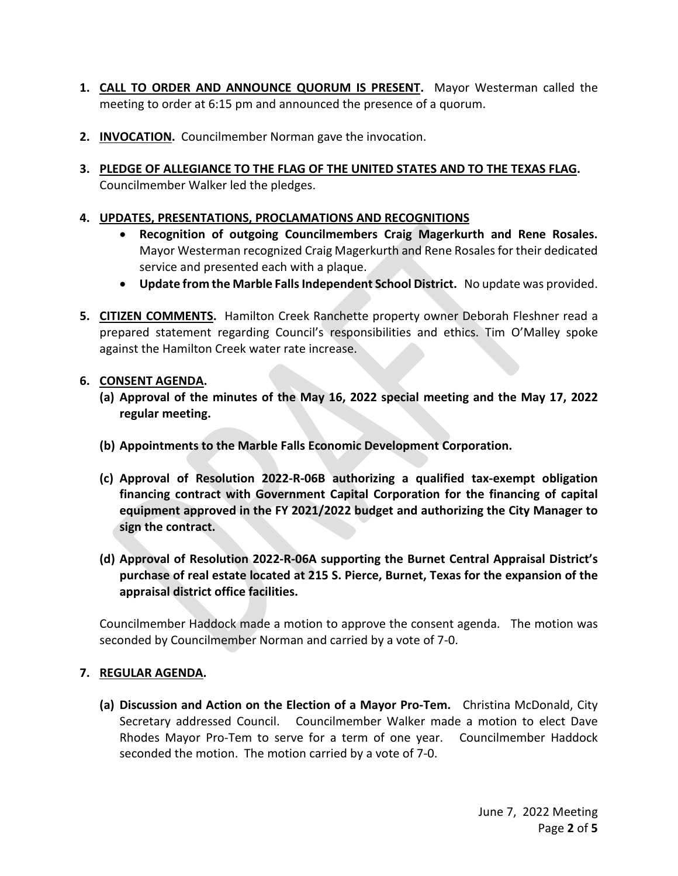- **1. CALL TO ORDER AND ANNOUNCE QUORUM IS PRESENT.** Mayor Westerman called the meeting to order at 6:15 pm and announced the presence of a quorum.
- **2. INVOCATION.** Councilmember Norman gave the invocation.
- **3. PLEDGE OF ALLEGIANCE TO THE FLAG OF THE UNITED STATES AND TO THE TEXAS FLAG.**  Councilmember Walker led the pledges.

## **4. UPDATES, PRESENTATIONS, PROCLAMATIONS AND RECOGNITIONS**

- **Recognition of outgoing Councilmembers Craig Magerkurth and Rene Rosales.**  Mayor Westerman recognized Craig Magerkurth and Rene Rosales for their dedicated service and presented each with a plaque.
- **Update from the Marble Falls Independent School District.** No update was provided.
- **5. CITIZEN COMMENTS.** Hamilton Creek Ranchette property owner Deborah Fleshner read a prepared statement regarding Council's responsibilities and ethics. Tim O'Malley spoke against the Hamilton Creek water rate increase.

### **6. CONSENT AGENDA.**

- **(a) Approval of the minutes of the May 16, 2022 special meeting and the May 17, 2022 regular meeting.**
- **(b) Appointments to the Marble Falls Economic Development Corporation.**
- **(c) Approval of Resolution 2022-R-06B authorizing a qualified tax-exempt obligation financing contract with Government Capital Corporation for the financing of capital equipment approved in the FY 2021/2022 budget and authorizing the City Manager to sign the contract.**
- **(d) Approval of Resolution 2022-R-06A supporting the Burnet Central Appraisal District's purchase of real estate located at 215 S. Pierce, Burnet, Texas for the expansion of the appraisal district office facilities.**

Councilmember Haddock made a motion to approve the consent agenda. The motion was seconded by Councilmember Norman and carried by a vote of 7-0.

### **7. REGULAR AGENDA.**

**(a) Discussion and Action on the Election of a Mayor Pro-Tem.** Christina McDonald, City Secretary addressed Council. Councilmember Walker made a motion to elect Dave Rhodes Mayor Pro-Tem to serve for a term of one year. Councilmember Haddock seconded the motion. The motion carried by a vote of 7-0.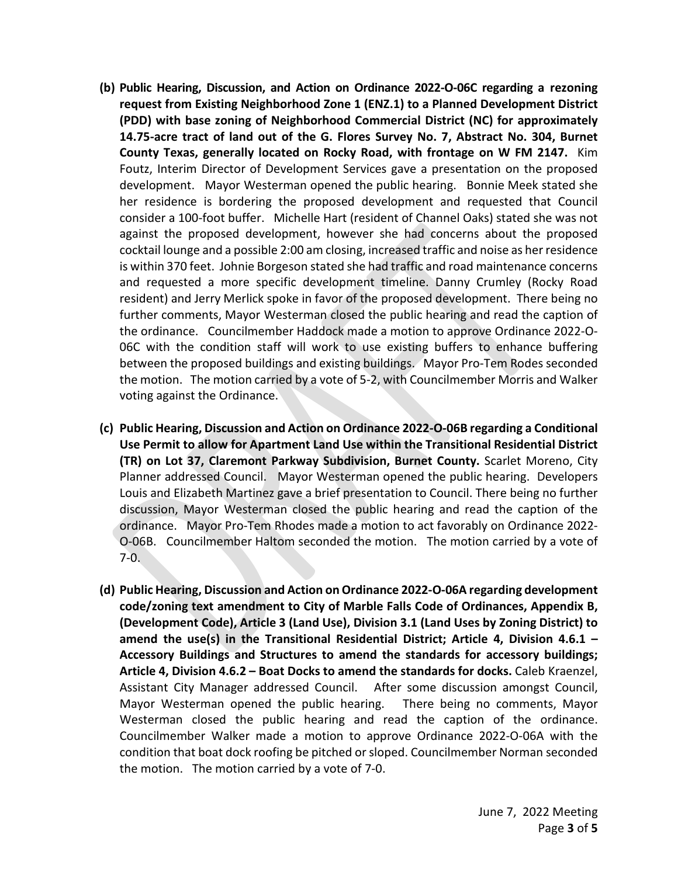- **(b) Public Hearing, Discussion, and Action on Ordinance 2022-O-06C regarding a rezoning request from Existing Neighborhood Zone 1 (ENZ.1) to a Planned Development District (PDD) with base zoning of Neighborhood Commercial District (NC) for approximately 14.75-acre tract of land out of the G. Flores Survey No. 7, Abstract No. 304, Burnet County Texas, generally located on Rocky Road, with frontage on W FM 2147.** Kim Foutz, Interim Director of Development Services gave a presentation on the proposed development. Mayor Westerman opened the public hearing. Bonnie Meek stated she her residence is bordering the proposed development and requested that Council consider a 100-foot buffer. Michelle Hart (resident of Channel Oaks) stated she was not against the proposed development, however she had concerns about the proposed cocktail lounge and a possible 2:00 am closing, increased traffic and noise as her residence is within 370 feet. Johnie Borgeson stated she had traffic and road maintenance concerns and requested a more specific development timeline. Danny Crumley (Rocky Road resident) and Jerry Merlick spoke in favor of the proposed development. There being no further comments, Mayor Westerman closed the public hearing and read the caption of the ordinance. Councilmember Haddock made a motion to approve Ordinance 2022-O-06C with the condition staff will work to use existing buffers to enhance buffering between the proposed buildings and existing buildings. Mayor Pro-Tem Rodes seconded the motion. The motion carried by a vote of 5-2, with Councilmember Morris and Walker voting against the Ordinance.
- **(c) Public Hearing, Discussion and Action on Ordinance 2022-O-06B regarding a Conditional Use Permit to allow for Apartment Land Use within the Transitional Residential District (TR) on Lot 37, Claremont Parkway Subdivision, Burnet County.** Scarlet Moreno, City Planner addressed Council. Mayor Westerman opened the public hearing. Developers Louis and Elizabeth Martinez gave a brief presentation to Council. There being no further discussion, Mayor Westerman closed the public hearing and read the caption of the ordinance. Mayor Pro-Tem Rhodes made a motion to act favorably on Ordinance 2022- O-06B. Councilmember Haltom seconded the motion. The motion carried by a vote of 7-0.
- **(d) Public Hearing, Discussion and Action on Ordinance 2022-O-06A regarding development code/zoning text amendment to City of Marble Falls Code of Ordinances, Appendix B, (Development Code), Article 3 (Land Use), Division 3.1 (Land Uses by Zoning District) to amend the use(s) in the Transitional Residential District; Article 4, Division 4.6.1 – Accessory Buildings and Structures to amend the standards for accessory buildings; Article 4, Division 4.6.2 – Boat Docks to amend the standards for docks.** Caleb Kraenzel, Assistant City Manager addressed Council. After some discussion amongst Council, Mayor Westerman opened the public hearing. There being no comments, Mayor Westerman closed the public hearing and read the caption of the ordinance. Councilmember Walker made a motion to approve Ordinance 2022-O-06A with the condition that boat dock roofing be pitched or sloped. Councilmember Norman seconded the motion. The motion carried by a vote of 7-0.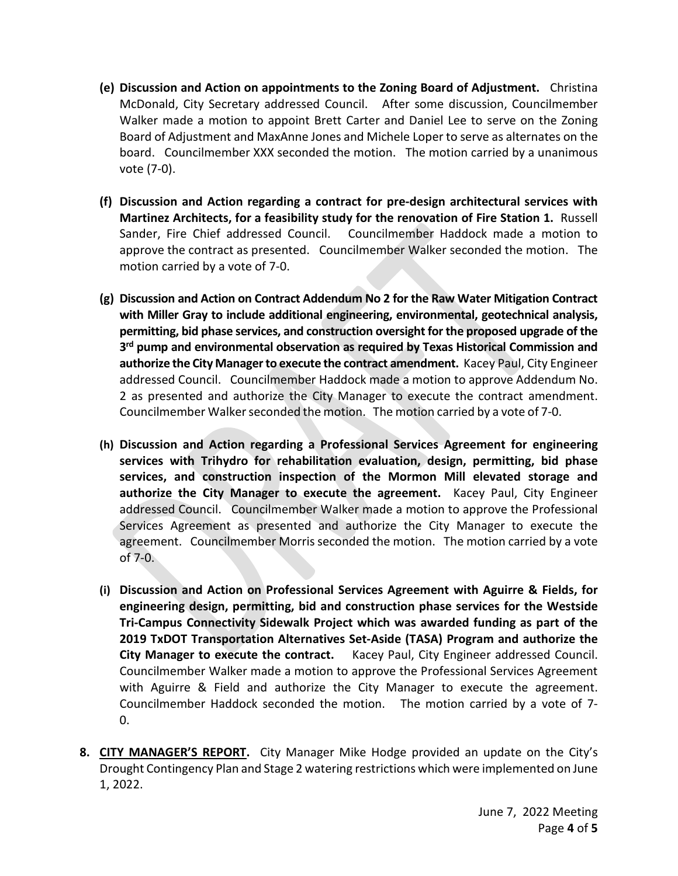- **(e) Discussion and Action on appointments to the Zoning Board of Adjustment.** Christina McDonald, City Secretary addressed Council. After some discussion, Councilmember Walker made a motion to appoint Brett Carter and Daniel Lee to serve on the Zoning Board of Adjustment and MaxAnne Jones and Michele Loper to serve as alternates on the board. Councilmember XXX seconded the motion. The motion carried by a unanimous vote (7-0).
- **(f) Discussion and Action regarding a contract for pre-design architectural services with Martinez Architects, for a feasibility study for the renovation of Fire Station 1.** Russell Sander, Fire Chief addressed Council. Councilmember Haddock made a motion to approve the contract as presented. Councilmember Walker seconded the motion. The motion carried by a vote of 7-0.
- **(g) Discussion and Action on Contract Addendum No 2 for the Raw Water Mitigation Contract with Miller Gray to include additional engineering, environmental, geotechnical analysis, permitting, bid phase services, and construction oversight for the proposed upgrade of the 3rd pump and environmental observation as required by Texas Historical Commission and authorize the City Manager to execute the contract amendment.** Kacey Paul, City Engineer addressed Council. Councilmember Haddock made a motion to approve Addendum No. 2 as presented and authorize the City Manager to execute the contract amendment. Councilmember Walkerseconded the motion. The motion carried by a vote of 7-0.
- **(h) Discussion and Action regarding a Professional Services Agreement for engineering services with Trihydro for rehabilitation evaluation, design, permitting, bid phase services, and construction inspection of the Mormon Mill elevated storage and authorize the City Manager to execute the agreement.** Kacey Paul, City Engineer addressed Council. Councilmember Walker made a motion to approve the Professional Services Agreement as presented and authorize the City Manager to execute the agreement. Councilmember Morris seconded the motion. The motion carried by a vote of 7-0.
- **(i) Discussion and Action on Professional Services Agreement with Aguirre & Fields, for engineering design, permitting, bid and construction phase services for the Westside Tri-Campus Connectivity Sidewalk Project which was awarded funding as part of the 2019 TxDOT Transportation Alternatives Set-Aside (TASA) Program and authorize the City Manager to execute the contract.** Kacey Paul, City Engineer addressed Council. Councilmember Walker made a motion to approve the Professional Services Agreement with Aguirre & Field and authorize the City Manager to execute the agreement. Councilmember Haddock seconded the motion. The motion carried by a vote of 7- 0.
- **8. CITY MANAGER'S REPORT.** City Manager Mike Hodge provided an update on the City's Drought Contingency Plan and Stage 2 watering restrictions which were implemented on June 1, 2022.